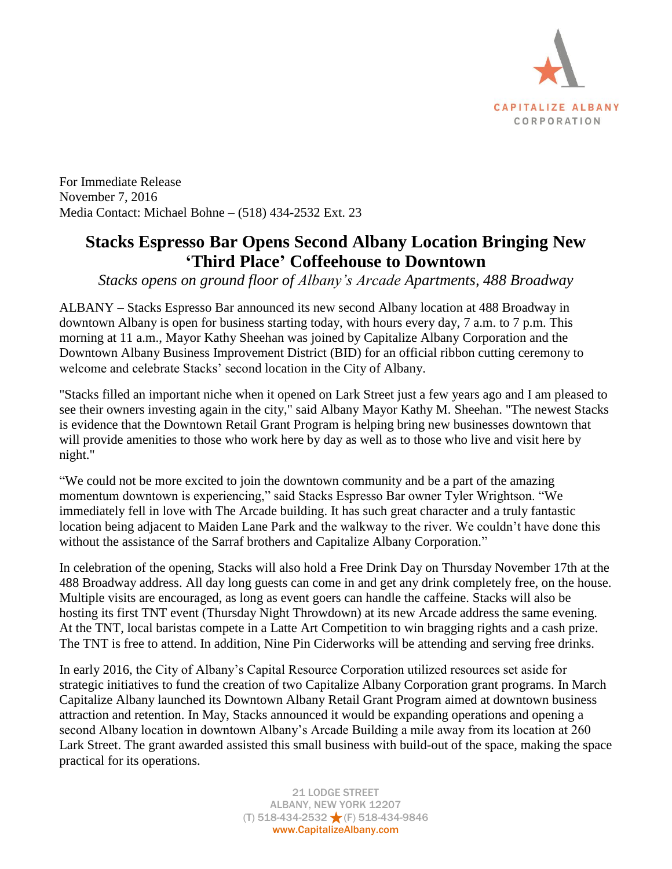

For Immediate Release November 7, 2016 Media Contact: Michael Bohne – (518) 434-2532 Ext. 23

## **Stacks Espresso Bar Opens Second Albany Location Bringing New 'Third Place' Coffeehouse to Downtown**

*Stacks opens on ground floor of Albany's Arcade Apartments, 488 Broadway*

ALBANY – Stacks Espresso Bar announced its new second Albany location at 488 Broadway in downtown Albany is open for business starting today, with hours every day, 7 a.m. to 7 p.m. This morning at 11 a.m., Mayor Kathy Sheehan was joined by Capitalize Albany Corporation and the Downtown Albany Business Improvement District (BID) for an official ribbon cutting ceremony to welcome and celebrate Stacks' second location in the City of Albany.

"Stacks filled an important niche when it opened on Lark Street just a few years ago and I am pleased to see their owners investing again in the city," said Albany Mayor Kathy M. Sheehan. "The newest Stacks is evidence that the Downtown Retail Grant Program is helping bring new businesses downtown that will provide amenities to those who work here by day as well as to those who live and visit here by night."

"We could not be more excited to join the downtown community and be a part of the amazing momentum downtown is experiencing," said Stacks Espresso Bar owner Tyler Wrightson. "We immediately fell in love with The Arcade building. It has such great character and a truly fantastic location being adjacent to Maiden Lane Park and the walkway to the river. We couldn't have done this without the assistance of the Sarraf brothers and Capitalize Albany Corporation."

In celebration of the opening, Stacks will also hold a Free Drink Day on Thursday November 17th at the 488 Broadway address. All day long guests can come in and get any drink completely free, on the house. Multiple visits are encouraged, as long as event goers can handle the caffeine. Stacks will also be hosting its first TNT event (Thursday Night Throwdown) at its new Arcade address the same evening. At the TNT, local baristas compete in a Latte Art Competition to win bragging rights and a cash prize. The TNT is free to attend. In addition, Nine Pin Ciderworks will be attending and serving free drinks.

In early 2016, the City of Albany's Capital Resource Corporation utilized resources set aside for strategic initiatives to fund the creation of two Capitalize Albany Corporation grant programs. In March Capitalize Albany launched its Downtown Albany Retail Grant Program aimed at downtown business attraction and retention. In May, Stacks announced it would be expanding operations and opening a second Albany location in downtown Albany's Arcade Building a mile away from its location at 260 Lark Street. The grant awarded assisted this small business with build-out of the space, making the space practical for its operations.

> 21 LODGE STREET ALBANY, NEW YORK 12207 (T) 518-434-2532 (F) 518-434-9846 www.CapitalizeAlbany.com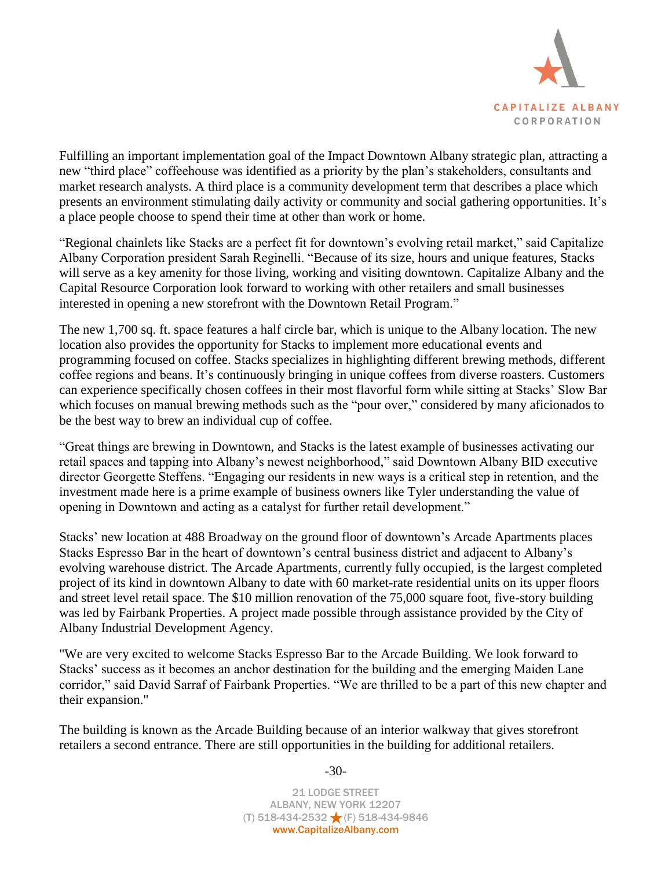

Fulfilling an important implementation goal of the Impact Downtown Albany strategic plan, attracting a new "third place" coffeehouse was identified as a priority by the plan's stakeholders, consultants and market research analysts. A third place is a community development term that describes a place which presents an environment stimulating daily activity or community and social gathering opportunities. It's a place people choose to spend their time at other than work or home.

"Regional chainlets like Stacks are a perfect fit for downtown's evolving retail market," said Capitalize Albany Corporation president Sarah Reginelli. "Because of its size, hours and unique features, Stacks will serve as a key amenity for those living, working and visiting downtown. Capitalize Albany and the Capital Resource Corporation look forward to working with other retailers and small businesses interested in opening a new storefront with the Downtown Retail Program."

The new 1,700 sq. ft. space features a half circle bar, which is unique to the Albany location. The new location also provides the opportunity for Stacks to implement more educational events and programming focused on coffee. Stacks specializes in highlighting different brewing methods, different coffee regions and beans. It's continuously bringing in unique coffees from diverse roasters. Customers can experience specifically chosen coffees in their most flavorful form while sitting at Stacks' Slow Bar which focuses on manual brewing methods such as the "pour over," considered by many aficionados to be the best way to brew an individual cup of coffee.

"Great things are brewing in Downtown, and Stacks is the latest example of businesses activating our retail spaces and tapping into Albany's newest neighborhood," said Downtown Albany BID executive director Georgette Steffens. "Engaging our residents in new ways is a critical step in retention, and the investment made here is a prime example of business owners like Tyler understanding the value of opening in Downtown and acting as a catalyst for further retail development."

Stacks' new location at 488 Broadway on the ground floor of downtown's Arcade Apartments places Stacks Espresso Bar in the heart of downtown's central business district and adjacent to Albany's evolving warehouse district. The Arcade Apartments, currently fully occupied, is the largest completed project of its kind in downtown Albany to date with 60 market-rate residential units on its upper floors and street level retail space. The \$10 million renovation of the 75,000 square foot, five-story building was led by Fairbank Properties. A project made possible through assistance provided by the City of Albany Industrial Development Agency.

"We are very excited to welcome Stacks Espresso Bar to the Arcade Building. We look forward to Stacks' success as it becomes an anchor destination for the building and the emerging Maiden Lane corridor," said David Sarraf of Fairbank Properties. "We are thrilled to be a part of this new chapter and their expansion."

The building is known as the Arcade Building because of an interior walkway that gives storefront retailers a second entrance. There are still opportunities in the building for additional retailers.

> 21 LODGE STREET ALBANY, NEW YORK 12207 (T) 518-434-2532 (F) 518-434-9846 www.CapitalizeAlbany.com

-30-